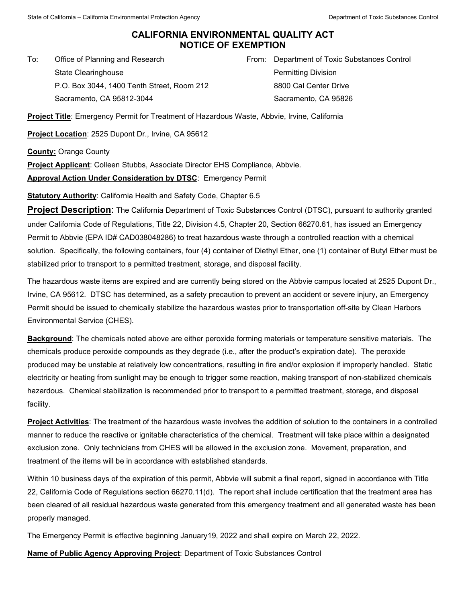## **CALIFORNIA ENVIRONMENTAL QUALITY ACT NOTICE OF EXEMPTION**

To: Office of Planning and Research State Clearinghouse P.O. Box 3044, 1400 Tenth Street, Room 212 Sacramento, CA 95812-3044

From: Department of Toxic Substances Control Permitting Division 8800 Cal Center Drive Sacramento, CA 95826

**Project Title**: Emergency Permit for Treatment of Hazardous Waste, Abbvie, Irvine, California

**Project Location**: 2525 Dupont Dr., Irvine, CA 95612

**County:** Orange County

**Project Applicant**: Colleen Stubbs, Associate Director EHS Compliance, Abbvie. **Approval Action Under Consideration by DTSC**: Emergency Permit

**Statutory Authority: California Health and Safety Code, Chapter 6.5** 

**Project Description**: The California Department of Toxic Substances Control (DTSC), pursuant to authority granted under California Code of Regulations, Title 22, Division 4.5, Chapter 20, Section 66270.61, has issued an Emergency Permit to Abbvie (EPA ID# CAD038048286) to treat hazardous waste through a controlled reaction with a chemical solution. Specifically, the following containers, four (4) container of Diethyl Ether, one (1) container of Butyl Ether must be stabilized prior to transport to a permitted treatment, storage, and disposal facility.

The hazardous waste items are expired and are currently being stored on the Abbvie campus located at 2525 Dupont Dr., Irvine, CA 95612. DTSC has determined, as a safety precaution to prevent an accident or severe injury, an Emergency Permit should be issued to chemically stabilize the hazardous wastes prior to transportation off-site by Clean Harbors Environmental Service (CHES).

**Background**: The chemicals noted above are either peroxide forming materials or temperature sensitive materials. The chemicals produce peroxide compounds as they degrade (i.e., after the product's expiration date). The peroxide produced may be unstable at relatively low concentrations, resulting in fire and/or explosion if improperly handled. Static electricity or heating from sunlight may be enough to trigger some reaction, making transport of non-stabilized chemicals hazardous. Chemical stabilization is recommended prior to transport to a permitted treatment, storage, and disposal facility.

**Project Activities**: The treatment of the hazardous waste involves the addition of solution to the containers in a controlled manner to reduce the reactive or ignitable characteristics of the chemical. Treatment will take place within a designated exclusion zone. Only technicians from CHES will be allowed in the exclusion zone. Movement, preparation, and treatment of the items will be in accordance with established standards.

Within 10 business days of the expiration of this permit, Abbvie will submit a final report, signed in accordance with Title 22, California Code of Regulations section 66270.11(d). The report shall include certification that the treatment area has been cleared of all residual hazardous waste generated from this emergency treatment and all generated waste has been properly managed.

The Emergency Permit is effective beginning January19, 2022 and shall expire on March 22, 2022.

**Name of Public Agency Approving Project**: Department of Toxic Substances Control